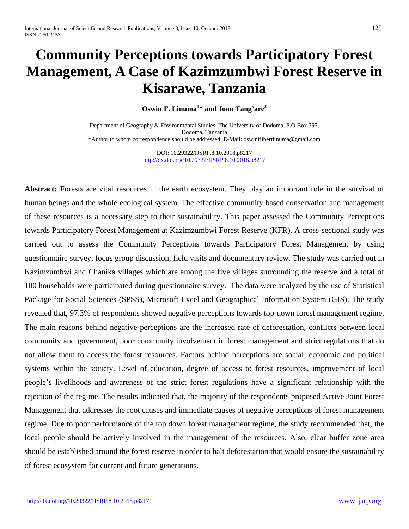# **Community Perceptions towards Participatory Forest Management, A Case of Kazimzumbwi Forest Reserve in Kisarawe, Tanzania**

**Oswin F. Linuma<sup>1</sup> \* and Joan Tang'are2**

Department of Geography & Environmental Studies, The University of Dodoma, P.O Box 395, Dodoma, Tanzania \*Author to whom correspondence should be addressed; E-Mail[: oswinfilbertlinuma@gmail.com](mailto:oswinfilbertlinuma@gmail.com)

> DOI: 10.29322/IJSRP.8.10.2018.p8217 <http://dx.doi.org/10.29322/IJSRP.8.10.2018.p8217>

**Abstract:** Forests are vital resources in the earth ecosystem. They play an important role in the survival of human beings and the whole ecological system. The effective community based conservation and management of these resources is a necessary step to their sustainability. This paper assessed the Community Perceptions towards Participatory Forest Management at Kazimzumbwi Forest Reserve (KFR). A cross-sectional study was carried out to assess the Community Perceptions towards Participatory Forest Management by using questionnaire survey, focus group discussion, field visits and documentary review. The study was carried out in Kazimzumbwi and Chanika villages which are among the five villages surrounding the reserve and a total of 100 households were participated during questionnaire survey. The data were analyzed by the use of Statistical Package for Social Sciences (SPSS), Microsoft Excel and Geographical Information System (GIS). The study revealed that, 97.3% of respondents showed negative perceptions towards top-down forest management regime. The main reasons behind negative perceptions are the increased rate of deforestation, conflicts between local community and government, poor community involvement in forest management and strict regulations that do not allow them to access the forest resources. Factors behind perceptions are social, economic and political systems within the society. Level of education, degree of access to forest resources, improvement of local people's livelihoods and awareness of the strict forest regulations have a significant relationship with the rejection of the regime. The results indicated that, the majority of the respondents proposed Active Joint Forest Management that addresses the root causes and immediate causes of negative perceptions of forest management regime. Due to poor performance of the top down forest management regime, the study recommended that, the local people should be actively involved in the management of the resources. Also, clear buffer zone area should be established around the forest reserve in order to halt deforestation that would ensure the sustainability of forest ecosystem for current and future generations.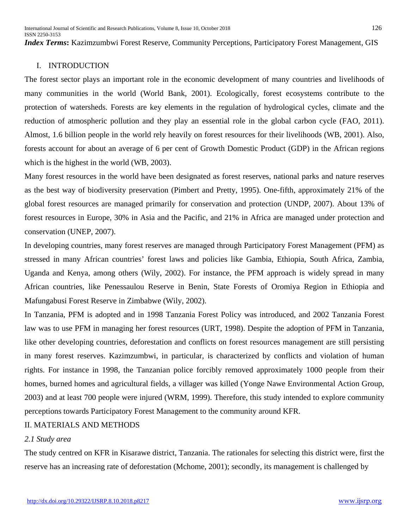International Journal of Scientific and Research Publications, Volume 8, Issue 10, October 2018 126 ISSN 2250-3153

*Index Terms***:** Kazimzumbwi Forest Reserve, Community Perceptions, Participatory Forest Management, GIS

## I. INTRODUCTION

The forest sector plays an important role in the economic development of many countries and livelihoods of many communities in the world (World Bank, 2001). Ecologically, forest ecosystems contribute to the protection of watersheds. Forests are key elements in the regulation of hydrological cycles, climate and the reduction of atmospheric pollution and they play an essential role in the global carbon cycle (FAO, 2011). Almost, 1.6 billion people in the world rely heavily on forest resources for their livelihoods (WB, 2001). Also, forests account for about an average of 6 per cent of Growth Domestic Product (GDP) in the African regions which is the highest in the world (WB, 2003).

Many forest resources in the world have been designated as forest reserves, national parks and nature reserves as the best way of biodiversity preservation (Pimbert and Pretty, 1995). One-fifth, approximately 21% of the global forest resources are managed primarily for conservation and protection (UNDP, 2007). About 13% of forest resources in Europe, 30% in Asia and the Pacific, and 21% in Africa are managed under protection and conservation (UNEP, 2007).

In developing countries, many forest reserves are managed through Participatory Forest Management (PFM) as stressed in many African countries' forest laws and policies like Gambia, Ethiopia, South Africa, Zambia, Uganda and Kenya, among others (Wily, 2002). For instance, the PFM approach is widely spread in many African countries, like Penessaulou Reserve in Benin, State Forests of Oromiya Region in Ethiopia and Mafungabusi Forest Reserve in Zimbabwe (Wily, 2002).

In Tanzania, PFM is adopted and in 1998 Tanzania Forest Policy was introduced, and 2002 Tanzania Forest law was to use PFM in managing her forest resources (URT, 1998). Despite the adoption of PFM in Tanzania, like other developing countries, deforestation and conflicts on forest resources management are still persisting in many forest reserves. Kazimzumbwi, in particular, is characterized by conflicts and violation of human rights. For instance in 1998, the Tanzanian police forcibly removed approximately 1000 people from their homes, burned homes and agricultural fields, a villager was killed (Yonge Nawe Environmental Action Group, 2003) and at least 700 people were injured (WRM, 1999). Therefore, this study intended to explore community perceptions towards Participatory Forest Management to the community around KFR.

#### II. MATERIALS AND METHODS

#### *2.1 Study area*

The study centred on KFR in Kisarawe district, Tanzania. The rationales for selecting this district were, first the reserve has an increasing rate of deforestation (Mchome, 2001); secondly, its management is challenged by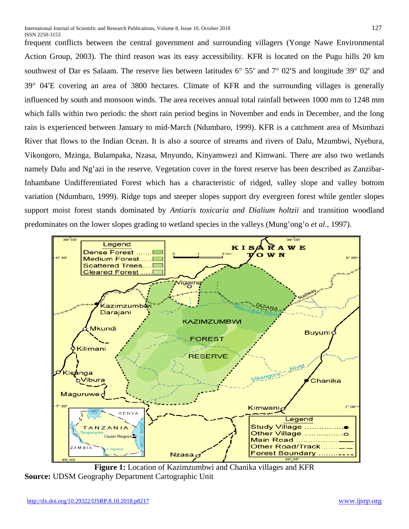frequent conflicts between the central government and surrounding villagers (Yonge Nawe Environmental Action Group, 2003). The third reason was its easy accessibility. KFR is located on the Pugu hills 20 km southwest of Dar es Salaam. The reserve lies between latitudes 6° 55′ and 7° 02′S and longitude 39° 02′ and 39° 04′E covering an area of 3800 hectares. Climate of KFR and the surrounding villages is generally influenced by south and monsoon winds. The area receives annual total rainfall between 1000 mm to 1248 mm which falls within two periods: the short rain period begins in November and ends in December, and the long rain is experienced between January to mid-March (Ndumbaro, 1999). KFR is a catchment area of Msimbazi River that flows to the Indian Ocean. It is also a source of streams and rivers of Dalu, Mzumbwi, Nyebura, Vikongoro, Mzinga, Bulampaka, Nzasa, Mnyundo, Kinyamwezi and Kimwani. There are also two wetlands namely Dalu and Ng'azi in the reserve. Vegetation cover in the forest reserve has been described as Zanzibar-Inhambane Undifferentiated Forest which has a characteristic of ridged, valley slope and valley bottom variation (Ndumbaro, 1999). Ridge tops and steeper slopes support dry evergreen forest while gentler slopes support moist forest stands dominated by *Antiaris toxicaria and Dialium holtzii* and transition woodland predominates on the lower slopes grading to wetland species in the valleys (Mung'ong'o *et al*., 1997).



**Figure 1:** Location of Kazimzumbwi and Chanika villages and KFR **Source:** UDSM Geography Department Cartographic Unit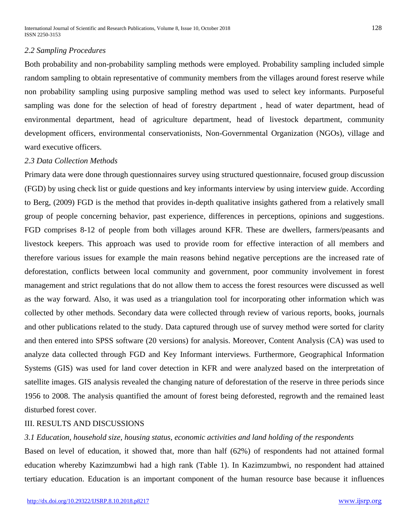## *2.2 Sampling Procedures*

Both probability and non-probability sampling methods were employed. Probability sampling included simple random sampling to obtain representative of community members from the villages around forest reserve while non probability sampling using purposive sampling method was used to select key informants. Purposeful sampling was done for the selection of head of forestry department , head of water department, head of environmental department, head of agriculture department, head of livestock department, community development officers, environmental conservationists, Non-Governmental Organization (NGOs), village and ward executive officers.

## *2.3 Data Collection Methods*

Primary data were done through questionnaires survey using structured questionnaire, focused group discussion (FGD) by using check list or guide questions and key informants interview by using interview guide. According to Berg, (2009) FGD is the method that provides in-depth qualitative insights gathered from a relatively small group of people concerning behavior, past experience, differences in perceptions, opinions and suggestions. FGD comprises 8-12 of people from both villages around KFR. These are dwellers, farmers/peasants and livestock keepers. This approach was used to provide room for effective interaction of all members and therefore various issues for example the main reasons behind negative perceptions are the increased rate of deforestation, conflicts between local community and government, poor community involvement in forest management and strict regulations that do not allow them to access the forest resources were discussed as well as the way forward. Also, it was used as a triangulation tool for incorporating other information which was collected by other methods. Secondary data were collected through review of various reports, books, journals and other publications related to the study. Data captured through use of survey method were sorted for clarity and then entered into SPSS software (20 versions) for analysis. Moreover, Content Analysis (CA) was used to analyze data collected through FGD and Key Informant interviews. Furthermore, Geographical Information Systems (GIS) was used for land cover detection in KFR and were analyzed based on the interpretation of satellite images. GIS analysis revealed the changing nature of deforestation of the reserve in three periods since 1956 to 2008. The analysis quantified the amount of forest being deforested, regrowth and the remained least disturbed forest cover.

#### III. RESULTS AND DISCUSSIONS

## *3.1 Education, household size, housing status, economic activities and land holding of the respondents*

Based on level of education, it showed that, more than half (62%) of respondents had not attained formal education whereby Kazimzumbwi had a high rank (Table 1). In Kazimzumbwi, no respondent had attained tertiary education. Education is an important component of the human resource base because it influences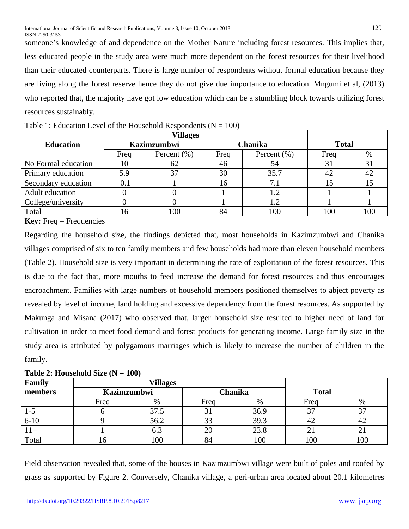someone's knowledge of and dependence on the Mother Nature including forest resources. This implies that, less educated people in the study area were much more dependent on the forest resources for their livelihood than their educated counterparts. There is large number of respondents without formal education because they are living along the forest reserve hence they do not give due importance to education. Mngumi et al, (2013) who reported that, the majority have got low education which can be a stumbling block towards utilizing forest resources sustainably.

| <b>Villages</b>     |                    |                 |      |                 |              |      |
|---------------------|--------------------|-----------------|------|-----------------|--------------|------|
| <b>Education</b>    | <b>Kazimzumbwi</b> |                 |      | Chanika         | <b>Total</b> |      |
|                     | Freq               | Percent $(\% )$ | Freq | Percent $(\% )$ | Freq         | $\%$ |
| No Formal education | 10                 | 62              | 46   | 54              | 31           | 31   |
| Primary education   | 5.9                | 37              | 30   | 35.7            | 42           | 42   |
| Secondary education | 0.1                |                 | 16   | 7.1             |              |      |
| Adult education     |                    |                 |      | 1.2             |              |      |
| College/university  |                    |                 |      | 1.2             |              |      |
| Total               |                    | 100             | 84   | 100             | 100          | 100  |

| Table 1: Education Level of the Household Respondents ( $N = 100$ ) |  |  |
|---------------------------------------------------------------------|--|--|
|---------------------------------------------------------------------|--|--|

**Key:** Freq = Frequencies

Regarding the household size, the findings depicted that, most households in Kazimzumbwi and Chanika villages comprised of six to ten family members and few households had more than eleven household members (Table 2). Household size is very important in determining the rate of exploitation of the forest resources. This is due to the fact that, more mouths to feed increase the demand for forest resources and thus encourages encroachment. Families with large numbers of household members positioned themselves to abject poverty as revealed by level of income, land holding and excessive dependency from the forest resources. As supported by Makunga and Misana (2017) who observed that, larger household size resulted to higher need of land for cultivation in order to meet food demand and forest products for generating income. Large family size in the study area is attributed by polygamous marriages which is likely to increase the number of children in the family.

| Family   | <b>Villages</b>    |      |         |      |              |            |
|----------|--------------------|------|---------|------|--------------|------------|
| members  | <b>Kazimzumbwi</b> |      | Chanika |      | <b>Total</b> |            |
|          | Freq               | %    | Freq    | %    | Freq         | $\%$       |
| $1-5$    |                    | 37.5 | 31      | 36.9 |              |            |
| $6 - 10$ |                    | 56.2 | 33      | 39.3 | 42           | 42         |
| $11+$    |                    | 6.3  | 20      | 23.8 |              | $\angle 1$ |
| Total    | 10                 | 100  | 84      | 100  | 100          | 100        |

## Table 2: Household Size  $(N = 100)$

Field observation revealed that, some of the houses in Kazimzumbwi village were built of poles and roofed by grass as supported by Figure 2. Conversely, Chanika village, a peri-urban area located about 20.1 kilometres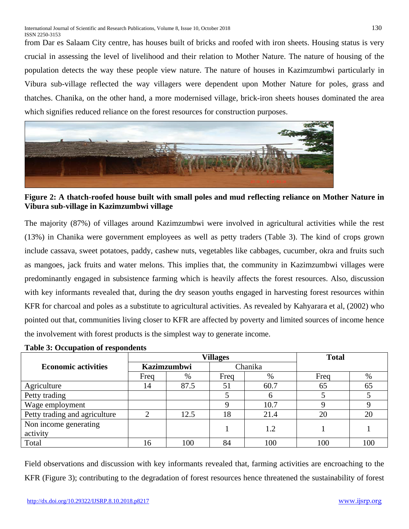from Dar es Salaam City centre, has houses built of bricks and roofed with iron sheets. Housing status is very crucial in assessing the level of livelihood and their relation to Mother Nature. The nature of housing of the population detects the way these people view nature. The nature of houses in Kazimzumbwi particularly in Vibura sub-village reflected the way villagers were dependent upon Mother Nature for poles, grass and thatches. Chanika, on the other hand, a more modernised village, brick-iron sheets houses dominated the area which signifies reduced reliance on the forest resources for construction purposes.



**Figure 2: A thatch-roofed house built with small poles and mud reflecting reliance on Mother Nature in Vibura sub-village in Kazimzumbwi village**

The majority (87%) of villages around Kazimzumbwi were involved in agricultural activities while the rest (13%) in Chanika were government employees as well as petty traders (Table 3). The kind of crops grown include cassava, sweet potatoes, paddy, cashew nuts, vegetables like cabbages, cucumber, okra and fruits such as mangoes, jack fruits and water melons. This implies that, the community in Kazimzumbwi villages were predominantly engaged in subsistence farming which is heavily affects the forest resources. Also, discussion with key informants revealed that, during the dry season youths engaged in harvesting forest resources within KFR for charcoal and poles as a substitute to agricultural activities. As revealed by Kahyarara et al, (2002) who pointed out that, communities living closer to KFR are affected by poverty and limited sources of income hence the involvement with forest products is the simplest way to generate income.

|                               |                    | <b>Villages</b> | <b>Total</b> |      |         |     |
|-------------------------------|--------------------|-----------------|--------------|------|---------|-----|
| <b>Economic activities</b>    | <b>Kazimzumbwi</b> |                 |              |      | Chanika |     |
|                               | Freq               | %               | Freq         | %    | Freq    | %   |
| Agriculture                   | 14                 | 87.5            | 51           | 60.7 | 65      | 65  |
| Petty trading                 |                    |                 |              | h    |         |     |
| Wage employment               |                    |                 |              | 10.7 |         |     |
| Petty trading and agriculture |                    | 12.5            | 18           | 21.4 | 20      | 20  |
| Non income generating         |                    |                 |              | 1.2  |         |     |
| activity                      |                    |                 |              |      |         |     |
| Total                         | l6                 | 100             | 84           | 100  | 100     | 100 |

## **Table 3: Occupation of respondents**

Field observations and discussion with key informants revealed that, farming activities are encroaching to the KFR (Figure 3); contributing to the degradation of forest resources hence threatened the sustainability of forest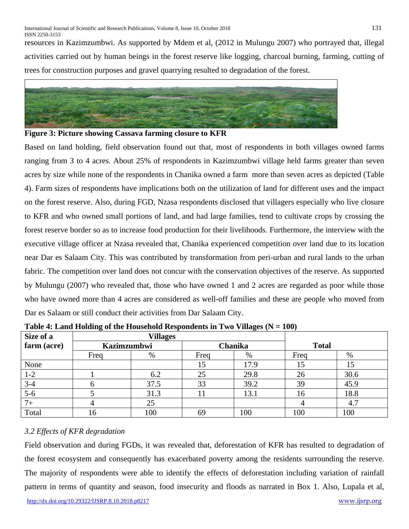resources in Kazimzumbwi. As supported by Mdem et al, (2012 in Mulungu 2007) who portrayed that, illegal activities carried out by human beings in the forest reserve like logging, charcoal burning, farming, cutting of trees for construction purposes and gravel quarrying resulted to degradation of the forest.





Based on land holding, field observation found out that, most of respondents in both villages owned farms ranging from 3 to 4 acres. About 25% of respondents in Kazimzumbwi village held farms greater than seven acres by size while none of the respondents in Chanika owned a farm more than seven acres as depicted (Table 4). Farm sizes of respondents have implications both on the utilization of land for different uses and the impact on the forest reserve. Also, during FGD, Nzasa respondents disclosed that villagers especially who live closure to KFR and who owned small portions of land, and had large families, tend to cultivate crops by crossing the forest reserve border so as to increase food production for their livelihoods. Furthermore, the interview with the executive village officer at Nzasa revealed that, Chanika experienced competition over land due to its location near Dar es Salaam City. This was contributed by transformation from peri-urban and rural lands to the urban fabric. The competition over land does not concur with the conservation objectives of the reserve. As supported by Mulungu (2007) who revealed that, those who have owned 1 and 2 acres are regarded as poor while those who have owned more than 4 acres are considered as well-off families and these are people who moved from Dar es Salaam or still conduct their activities from Dar Salaam City.

| Size of a   | <b>Villages</b>    |      |                |      |      |              |  |
|-------------|--------------------|------|----------------|------|------|--------------|--|
| farm (acre) | <b>Kazimzumbwi</b> |      | <b>Chanika</b> |      |      | <b>Total</b> |  |
|             | Freq               | %    | Freq           | $\%$ | Freq | $\%$         |  |
| None        |                    |      |                | 17.9 | 15   | 15           |  |
| $1-2$       |                    | 6.2  | 25             | 29.8 | 26   | 30.6         |  |
| $3-4$       | n                  | 37.5 | 33             | 39.2 | 39   | 45.9         |  |
| $5-6$       |                    | 31.3 |                | 13.1 | 16   | 18.8         |  |
| $7+$        |                    | 25   |                |      |      | 4.7          |  |
| Total       | 16                 | 100  | 69             | 100  | 100  | 100          |  |

**Table 4: Land Holding of the Household Respondents in Two Villages (N = 100)**

# *3.2 Effects of KFR degradation*

Field observation and during FGDs, it was revealed that, deforestation of KFR has resulted to degradation of the forest ecosystem and consequently has exacerbated poverty among the residents surrounding the reserve. The majority of respondents were able to identify the effects of deforestation including variation of rainfall pattern in terms of quantity and season, food insecurity and floods as narrated in Box 1. Also, Lupala et al,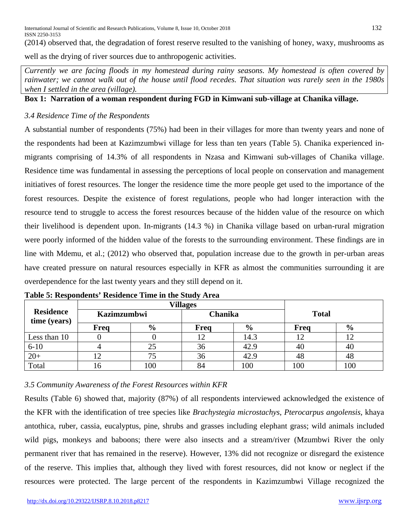(2014) observed that, the degradation of forest reserve resulted to the vanishing of honey, waxy, mushrooms as well as the drying of river sources due to anthropogenic activities.

*Currently we are facing floods in my homestead during rainy seasons. My homestead is often covered by rainwater; we cannot walk out of the house until flood recedes. That situation was rarely seen in the 1980s when I settled in the area (village).*

**Box 1: Narration of a woman respondent during FGD in Kimwani sub-village at Chanika village.**

## *3.4 Residence Time of the Respondents*

A substantial number of respondents (75%) had been in their villages for more than twenty years and none of the respondents had been at Kazimzumbwi village for less than ten years (Table 5). Chanika experienced inmigrants comprising of 14.3% of all respondents in Nzasa and Kimwani sub-villages of Chanika village. Residence time was fundamental in assessing the perceptions of local people on conservation and management initiatives of forest resources. The longer the residence time the more people get used to the importance of the forest resources. Despite the existence of forest regulations, people who had longer interaction with the resource tend to struggle to access the forest resources because of the hidden value of the resource on which their livelihood is dependent upon. In-migrants (14.3 %) in Chanika village based on urban-rural migration were poorly informed of the hidden value of the forests to the surrounding environment. These findings are in line with Mdemu, et al.; (2012) who observed that, population increase due to the growth in per-urban areas have created pressure on natural resources especially in KFR as almost the communities surrounding it are overdependence for the last twenty years and they still depend on it.

|                                  | <b>Villages</b>    |               |         |               |              |               |
|----------------------------------|--------------------|---------------|---------|---------------|--------------|---------------|
| <b>Residence</b><br>time (years) | <b>Kazimzumbwi</b> |               | Chanika |               | <b>Total</b> |               |
|                                  | <b>Freq</b>        | $\frac{6}{9}$ | Freq    | $\frac{6}{9}$ | Freq         | $\frac{0}{0}$ |
| Less than 10                     |                    |               |         | 14.3          |              |               |
| $6 - 10$                         |                    | 25            | 36      | 42.9          | 40           | 40            |
| $20+$                            |                    | 75            | 36      | 42.9          | 48           | 48            |
| Total                            |                    | 100           | 84      | 100           | 100          | 100           |

**Table 5: Respondents' Residence Time in the Study Area**

# *3.5 Community Awareness of the Forest Resources within KFR*

Results (Table 6) showed that, majority (87%) of all respondents interviewed acknowledged the existence of the KFR with the identification of tree species like *Brachystegia microstachys*, *Pterocarpus angolensis*, khaya antothica, ruber, cassia, eucalyptus, pine, shrubs and grasses including elephant grass; wild animals included wild pigs, monkeys and baboons; there were also insects and a stream/river (Mzumbwi River the only permanent river that has remained in the reserve). However, 13% did not recognize or disregard the existence of the reserve. This implies that, although they lived with forest resources, did not know or neglect if the resources were protected. The large percent of the respondents in Kazimzumbwi Village recognized the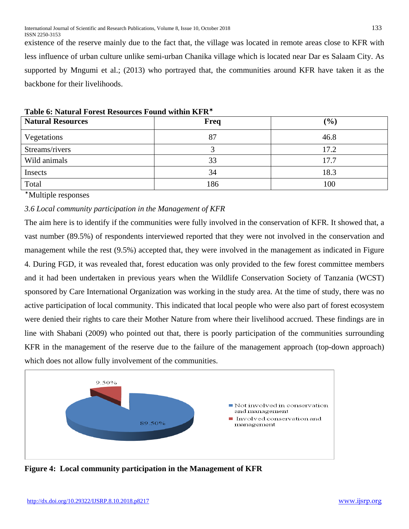existence of the reserve mainly due to the fact that, the village was located in remote areas close to KFR with less influence of urban culture unlike semi-urban Chanika village which is located near Dar es Salaam City. As supported by Mngumi et al.; (2013) who portrayed that, the communities around KFR have taken it as the backbone for their livelihoods.

| $-$ 0.0000 $-$ 0.0000 $-$ 0.0000 $-$ 0.0000 $-$ |      |      |  |  |  |
|-------------------------------------------------|------|------|--|--|--|
| <b>Natural Resources</b>                        | Freq | (%)  |  |  |  |
| Vegetations                                     | 87   | 46.8 |  |  |  |
| Streams/rivers                                  |      | 17.2 |  |  |  |
| Wild animals                                    | 33   | 17.7 |  |  |  |
| Insects                                         | 34   | 18.3 |  |  |  |
| Total                                           | 186  | 100  |  |  |  |

**Table 6: Natural Forest Resources Found within KFR**

Multiple responses

## *3.6 Local community participation in the Management of KFR*

The aim here is to identify if the communities were fully involved in the conservation of KFR. It showed that, a vast number (89.5%) of respondents interviewed reported that they were not involved in the conservation and management while the rest (9.5%) accepted that, they were involved in the management as indicated in Figure 4. During FGD, it was revealed that, forest education was only provided to the few forest committee members and it had been undertaken in previous years when the Wildlife Conservation Society of Tanzania (WCST) sponsored by Care International Organization was working in the study area. At the time of study, there was no active participation of local community. This indicated that local people who were also part of forest ecosystem were denied their rights to care their Mother Nature from where their livelihood accrued. These findings are in line with Shabani (2009) who pointed out that, there is poorly participation of the communities surrounding KFR in the management of the reserve due to the failure of the management approach (top-down approach) which does not allow fully involvement of the communities.



**Figure 4: Local community participation in the Management of KFR**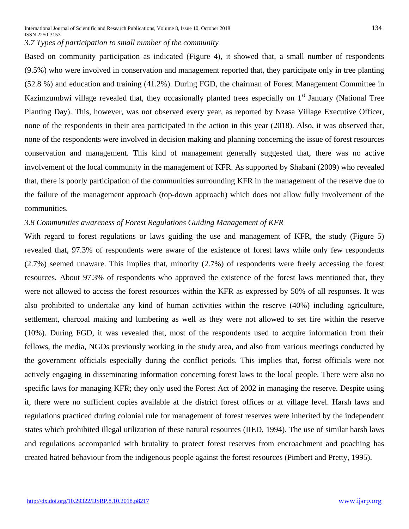International Journal of Scientific and Research Publications, Volume 8, Issue 10, October 2018 134 ISSN 2250-3153 *3.7 Types of participation to small number of the community*

Based on community participation as indicated (Figure 4), it showed that, a small number of respondents (9.5%) who were involved in conservation and management reported that, they participate only in tree planting (52.8 %) and education and training (41.2%). During FGD, the chairman of Forest Management Committee in Kazimzumbwi village revealed that, they occasionally planted trees especially on  $1<sup>st</sup>$  January (National Tree Planting Day). This, however, was not observed every year, as reported by Nzasa Village Executive Officer, none of the respondents in their area participated in the action in this year (2018). Also, it was observed that, none of the respondents were involved in decision making and planning concerning the issue of forest resources conservation and management. This kind of management generally suggested that, there was no active involvement of the local community in the management of KFR. As supported by Shabani (2009) who revealed that, there is poorly participation of the communities surrounding KFR in the management of the reserve due to the failure of the management approach (top-down approach) which does not allow fully involvement of the communities.

#### *3.8 Communities awareness of Forest Regulations Guiding Management of KFR*

With regard to forest regulations or laws guiding the use and management of KFR, the study (Figure 5) revealed that, 97.3% of respondents were aware of the existence of forest laws while only few respondents (2.7%) seemed unaware. This implies that, minority (2.7%) of respondents were freely accessing the forest resources. About 97.3% of respondents who approved the existence of the forest laws mentioned that, they were not allowed to access the forest resources within the KFR as expressed by 50% of all responses. It was also prohibited to undertake any kind of human activities within the reserve (40%) including agriculture, settlement, charcoal making and lumbering as well as they were not allowed to set fire within the reserve (10%). During FGD, it was revealed that, most of the respondents used to acquire information from their fellows, the media, NGOs previously working in the study area, and also from various meetings conducted by the government officials especially during the conflict periods. This implies that, forest officials were not actively engaging in disseminating information concerning forest laws to the local people. There were also no specific laws for managing KFR; they only used the Forest Act of 2002 in managing the reserve. Despite using it, there were no sufficient copies available at the district forest offices or at village level. Harsh laws and regulations practiced during colonial rule for management of forest reserves were inherited by the independent states which prohibited illegal utilization of these natural resources (IIED, 1994). The use of similar harsh laws and regulations accompanied with brutality to protect forest reserves from encroachment and poaching has created hatred behaviour from the indigenous people against the forest resources (Pimbert and Pretty, 1995).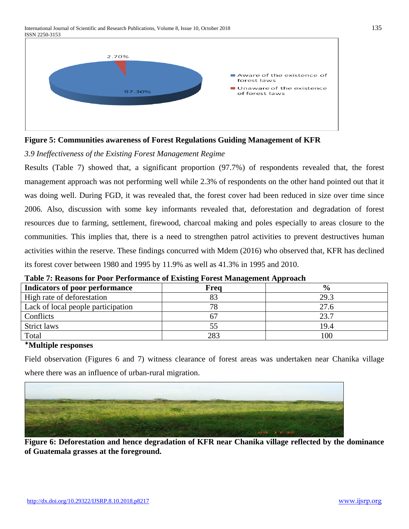International Journal of Scientific and Research Publications, Volume 8, Issue 10, October 2018 135 ISSN 2250-3153



**Figure 5: Communities awareness of Forest Regulations Guiding Management of KFR**

*3.9 Ineffectiveness of the Existing Forest Management Regime*

Results (Table 7) showed that, a significant proportion (97.7%) of respondents revealed that, the forest management approach was not performing well while 2.3% of respondents on the other hand pointed out that it was doing well. During FGD, it was revealed that, the forest cover had been reduced in size over time since 2006. Also, discussion with some key informants revealed that, deforestation and degradation of forest resources due to farming, settlement, firewood, charcoal making and poles especially to areas closure to the communities. This implies that, there is a need to strengthen patrol activities to prevent destructives human activities within the reserve. These findings concurred with Mdem (2016) who observed that, KFR has declined its forest cover between 1980 and 1995 by 11.9% as well as 41.3% in 1995 and 2010.

| Indicators of poor performance     | Freq | $\frac{0}{0}$ |  |  |  |  |
|------------------------------------|------|---------------|--|--|--|--|
| High rate of deforestation         |      | 29.3          |  |  |  |  |
| Lack of local people participation | 70   | 27.6          |  |  |  |  |
| Conflicts                          |      | 23.7          |  |  |  |  |
| Strict laws                        |      | 19.4          |  |  |  |  |
| Total                              | 283  | 100           |  |  |  |  |

**Table 7: Reasons for Poor Performance of Existing Forest Management Approach**

## **Multiple responses**

Field observation (Figures 6 and 7) witness clearance of forest areas was undertaken near Chanika village where there was an influence of urban-rural migration.



**Figure 6: Deforestation and hence degradation of KFR near Chanika village reflected by the dominance of Guatemala grasses at the foreground.**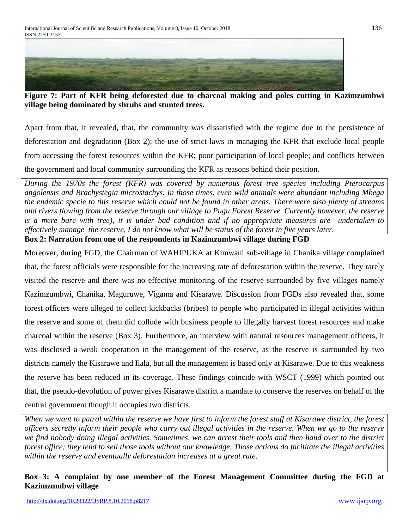

**Figure 7: Part of KFR being deforested due to charcoal making and poles cutting in Kazimzumbwi village being dominated by shrubs and stunted trees.**

Apart from that, it revealed, that, the community was dissatisfied with the regime due to the persistence of deforestation and degradation (Box 2); the use of strict laws in managing the KFR that exclude local people from accessing the forest resources within the KFR; poor participation of local people; and conflicts between the government and local community surrounding the KFR as reasons behind their position.

*During the 1970s the forest (KFR) was covered by numerous forest tree species including Pterocarpus angolensis and Brachystegia microstachys. In those times, even wild animals were abundant including Mbega the endemic specie to this reserve which could not be found in other areas. There were also plenty of streams and rivers flowing from the reserve through our village to Pugu Forest Reserve. Currently however, the reserve is a mere bare with tree), it is under bad condition and if no appropriate measures are undertaken to effectively manage the reserve, I do not know what will be status of the forest in five years later.*

**Box 2: Narration from one of the respondents in Kazimzumbwi village during FGD**

Moreover, during FGD, the Chairman of WAHIPUKA at Kimwani sub-village in Chanika village complained that, the forest officials were responsible for the increasing rate of deforestation within the reserve. They rarely visited the reserve and there was no effective monitoring of the reserve surrounded by five villages namely Kazimzumbwi, Chanika, Maguruwe, Vigama and Kisarawe. Discussion from FGDs also revealed that, some forest officers were alleged to collect kickbacks (bribes) to people who participated in illegal activities within the reserve and some of them did collude with business people to illegally harvest forest resources and make charcoal within the reserve (Box 3). Furthermore, an interview with natural resources management officers, it was disclosed a weak cooperation in the management of the reserve, as the reserve is surrounded by two districts namely the Kisarawe and Ilala, but all the management is based only at Kisarawe. Due to this weakness the reserve has been reduced in its coverage. These findings coincide with WSCT (1999) which pointed out that, the pseudo-devolution of power gives Kisarawe district a mandate to conserve the reserves on behalf of the central government though it occupies two districts.

*When we want to patrol within the reserve we have first to inform the forest staff at Kisarawe district, the forest officers secretly inform their people who carry out illegal activities in the reserve. When we go to the reserve we find nobody doing illegal activities. Sometimes, we can arrest their tools and then hand over to the district forest office; they tend to sell those tools without our knowledge. Those actions do facilitate the illegal activities within the reserve and eventually deforestation increases at a great rate.*

# **Box 3: A complaint by one member of the Forest Management Committee during the FGD at Kazimzumbwi village**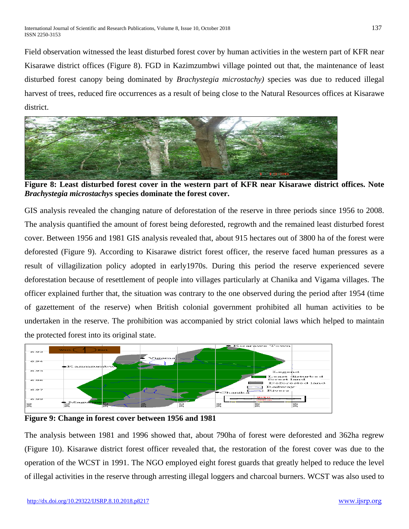Field observation witnessed the least disturbed forest cover by human activities in the western part of KFR near Kisarawe district offices (Figure 8). FGD in Kazimzumbwi village pointed out that, the maintenance of least disturbed forest canopy being dominated by *Brachystegia microstachy)* species was due to reduced illegal harvest of trees, reduced fire occurrences as a result of being close to the Natural Resources offices at Kisarawe district.



**Figure 8: Least disturbed forest cover in the western part of KFR near Kisarawe district offices. Note**  *Brachystegia microstachys* **species dominate the forest cover.**

GIS analysis revealed the changing nature of deforestation of the reserve in three periods since 1956 to 2008. The analysis quantified the amount of forest being deforested, regrowth and the remained least disturbed forest cover. Between 1956 and 1981 GIS analysis revealed that, about 915 hectares out of 3800 ha of the forest were deforested (Figure 9). According to Kisarawe district forest officer, the reserve faced human pressures as a result of villagilization policy adopted in early1970s. During this period the reserve experienced severe deforestation because of resettlement of people into villages particularly at Chanika and Vigama villages. The officer explained further that, the situation was contrary to the one observed during the period after 1954 (time of gazettement of the reserve) when British colonial government prohibited all human activities to be undertaken in the reserve. The prohibition was accompanied by strict colonial laws which helped to maintain the protected forest into its original state.



**Figure 9: Change in forest cover between 1956 and 1981**

The analysis between 1981 and 1996 showed that, about 790ha of forest were deforested and 362ha regrew (Figure 10). Kisarawe district forest officer revealed that, the restoration of the forest cover was due to the operation of the WCST in 1991. The NGO employed eight forest guards that greatly helped to reduce the level of illegal activities in the reserve through arresting illegal loggers and charcoal burners. WCST was also used to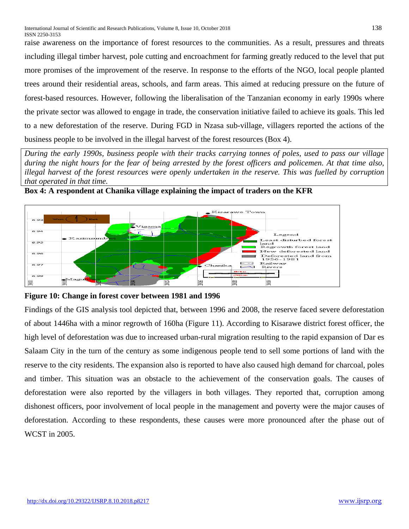raise awareness on the importance of forest resources to the communities. As a result, pressures and threats including illegal timber harvest, pole cutting and encroachment for farming greatly reduced to the level that put more promises of the improvement of the reserve. In response to the efforts of the NGO, local people planted trees around their residential areas, schools, and farm areas. This aimed at reducing pressure on the future of forest-based resources. However, following the liberalisation of the Tanzanian economy in early 1990s where the private sector was allowed to engage in trade, the conservation initiative failed to achieve its goals. This led to a new deforestation of the reserve. During FGD in Nzasa sub-village, villagers reported the actions of the business people to be involved in the illegal harvest of the forest resources (Box 4).

*During the early 1990s, business people with their tracks carrying tonnes of poles, used to pass our village during the night hours for the fear of being arrested by the forest officers and policemen. At that time also, illegal harvest of the forest resources were openly undertaken in the reserve. This was fuelled by corruption that operated in that time.* 



**Box 4: A respondent at Chanika village explaining the impact of traders on the KFR**

**Figure 10: Change in forest cover between 1981 and 1996**

Findings of the GIS analysis tool depicted that, between 1996 and 2008, the reserve faced severe deforestation of about 1446ha with a minor regrowth of 160ha (Figure 11). According to Kisarawe district forest officer, the high level of deforestation was due to increased urban-rural migration resulting to the rapid expansion of Dar es Salaam City in the turn of the century as some indigenous people tend to sell some portions of land with the reserve to the city residents. The expansion also is reported to have also caused high demand for charcoal, poles and timber. This situation was an obstacle to the achievement of the conservation goals. The causes of deforestation were also reported by the villagers in both villages. They reported that, corruption among dishonest officers, poor involvement of local people in the management and poverty were the major causes of deforestation. According to these respondents, these causes were more pronounced after the phase out of WCST in 2005.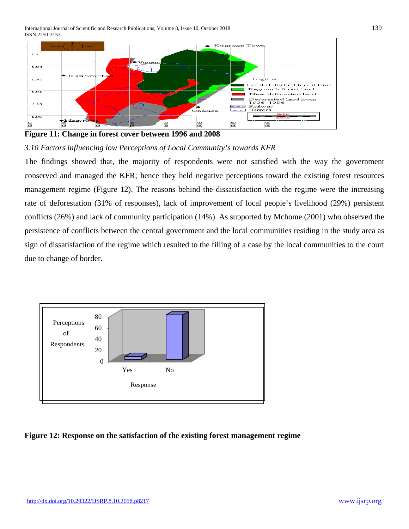International Journal of Scientific and Research Publications, Volume 8, Issue 10, October 2018 139 ISSN 2250-3153



**Figure 11: Change in forest cover between 1996 and 2008**

*3.10 Factors influencing low Perceptions of Local Community's towards KFR* 

The findings showed that, the majority of respondents were not satisfied with the way the government conserved and managed the KFR; hence they held negative perceptions toward the existing forest resources management regime (Figure 12). The reasons behind the dissatisfaction with the regime were the increasing rate of deforestation (31% of responses), lack of improvement of local people's livelihood (29%) persistent conflicts (26%) and lack of community participation (14%). As supported by Mchome (2001) who observed the persistence of conflicts between the central government and the local communities residing in the study area as sign of dissatisfaction of the regime which resulted to the filling of a case by the local communities to the court due to change of border.



**Figure 12: Response on the satisfaction of the existing forest management regime**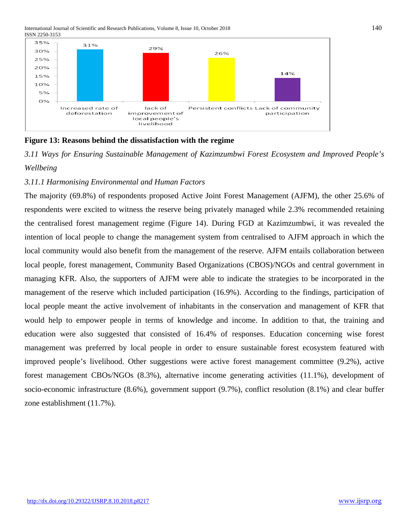International Journal of Scientific and Research Publications, Volume 8, Issue 10, October 2018 140 ISSN 2250-3153





*3.11 Ways for Ensuring Sustainable Management of Kazimzumbwi Forest Ecosystem and Improved People's Wellbeing*

## *3.11.1 Harmonising Environmental and Human Factors*

The majority (69.8%) of respondents proposed Active Joint Forest Management (AJFM), the other 25.6% of respondents were excited to witness the reserve being privately managed while 2.3% recommended retaining the centralised forest management regime (Figure 14). During FGD at Kazimzumbwi, it was revealed the intention of local people to change the management system from centralised to AJFM approach in which the local community would also benefit from the management of the reserve. AJFM entails collaboration between local people, forest management, Community Based Organizations (CBOS)/NGOs and central government in managing KFR. Also, the supporters of AJFM were able to indicate the strategies to be incorporated in the management of the reserve which included participation (16.9%). According to the findings, participation of local people meant the active involvement of inhabitants in the conservation and management of KFR that would help to empower people in terms of knowledge and income. In addition to that, the training and education were also suggested that consisted of 16.4% of responses. Education concerning wise forest management was preferred by local people in order to ensure sustainable forest ecosystem featured with improved people's livelihood. Other suggestions were active forest management committee (9.2%), active forest management CBOs/NGOs (8.3%), alternative income generating activities (11.1%), development of socio-economic infrastructure (8.6%), government support (9.7%), conflict resolution (8.1%) and clear buffer zone establishment (11.7%).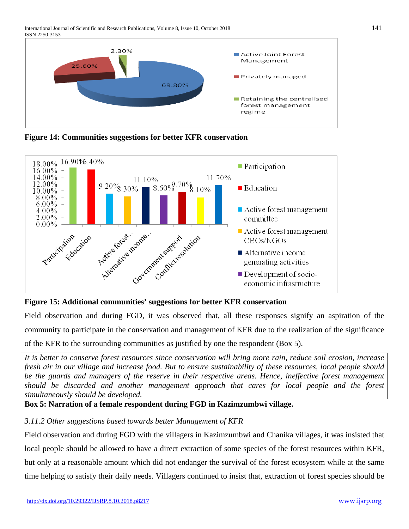

**Figure 14: Communities suggestions for better KFR conservation**





Field observation and during FGD, it was observed that, all these responses signify an aspiration of the community to participate in the conservation and management of KFR due to the realization of the significance of the KFR to the surrounding communities as justified by one the respondent (Box 5).

*It is better to conserve forest resources since conservation will bring more rain, reduce soil erosion, increase fresh air in our village and increase food. But to ensure sustainability of these resources, local people should be the guards and managers of the reserve in their respective areas. Hence, ineffective forest management should be discarded and another management approach that cares for local people and the forest simultaneously should be developed.*

**Box 5: Narration of a female respondent during FGD in Kazimzumbwi village.**

# *3.11.2 Other suggestions based towards better Management of KFR*

Field observation and during FGD with the villagers in Kazimzumbwi and Chanika villages, it was insisted that local people should be allowed to have a direct extraction of some species of the forest resources within KFR, but only at a reasonable amount which did not endanger the survival of the forest ecosystem while at the same time helping to satisfy their daily needs. Villagers continued to insist that, extraction of forest species should be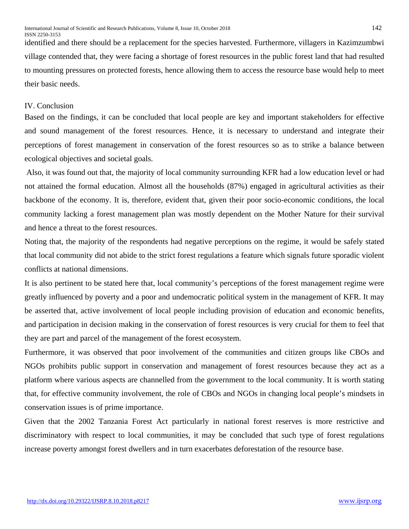identified and there should be a replacement for the species harvested. Furthermore, villagers in Kazimzumbwi village contended that, they were facing a shortage of forest resources in the public forest land that had resulted to mounting pressures on protected forests, hence allowing them to access the resource base would help to meet their basic needs.

## IV. Conclusion

Based on the findings, it can be concluded that local people are key and important stakeholders for effective and sound management of the forest resources. Hence, it is necessary to understand and integrate their perceptions of forest management in conservation of the forest resources so as to strike a balance between ecological objectives and societal goals.

Also, it was found out that, the majority of local community surrounding KFR had a low education level or had not attained the formal education. Almost all the households (87%) engaged in agricultural activities as their backbone of the economy. It is, therefore, evident that, given their poor socio-economic conditions, the local community lacking a forest management plan was mostly dependent on the Mother Nature for their survival and hence a threat to the forest resources.

Noting that, the majority of the respondents had negative perceptions on the regime, it would be safely stated that local community did not abide to the strict forest regulations a feature which signals future sporadic violent conflicts at national dimensions.

It is also pertinent to be stated here that, local community's perceptions of the forest management regime were greatly influenced by poverty and a poor and undemocratic political system in the management of KFR. It may be asserted that, active involvement of local people including provision of education and economic benefits, and participation in decision making in the conservation of forest resources is very crucial for them to feel that they are part and parcel of the management of the forest ecosystem.

Furthermore, it was observed that poor involvement of the communities and citizen groups like CBOs and NGOs prohibits public support in conservation and management of forest resources because they act as a platform where various aspects are channelled from the government to the local community. It is worth stating that, for effective community involvement, the role of CBOs and NGOs in changing local people's mindsets in conservation issues is of prime importance.

Given that the 2002 Tanzania Forest Act particularly in national forest reserves is more restrictive and discriminatory with respect to local communities, it may be concluded that such type of forest regulations increase poverty amongst forest dwellers and in turn exacerbates deforestation of the resource base.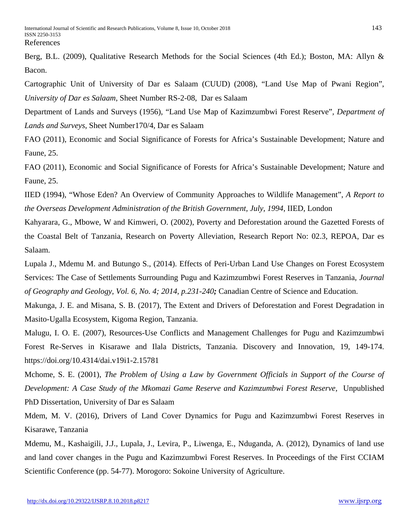Berg, B.L. (2009), Qualitative Research Methods for the Social Sciences (4th Ed.); Boston, MA: Allyn & Bacon.

Cartographic Unit of University of Dar es Salaam (CUUD) (2008), "Land Use Map of Pwani Region", *University of Dar es Salaam*, Sheet Number RS-2-08, Dar es Salaam

Department of Lands and Surveys (1956), "Land Use Map of Kazimzumbwi Forest Reserve"*, Department of Lands and Surveys*, Sheet Number170/4, Dar es Salaam

FAO (2011), Economic and Social Significance of Forests for Africa's Sustainable Development; Nature and Faune, 25.

FAO (2011), Economic and Social Significance of Forests for Africa's Sustainable Development; Nature and Faune, 25.

IIED (1994), "Whose Eden? An Overview of Community Approaches to Wildlife Management", *A Report to the Overseas Development Administration of the British Government, July, 1994*, IIED, London

Kahyarara, G., Mbowe, W and Kimweri, O. (2002), Poverty and Deforestation around the Gazetted Forests of the Coastal Belt of Tanzania, Research on Poverty Alleviation, Research Report No: 02.3, REPOA, Dar es Salaam.

Lupala J., Mdemu M. and Butungo S., (2014). Effects of Peri-Urban Land Use Changes on Forest Ecosystem Services: The Case of Settlements Surrounding Pugu and Kazimzumbwi Forest Reserves in Tanzania, *Journal of Geography and Geology, Vol. 6, No. 4; 2014, p.231-240;* Canadian Centre of Science and Education.

Makunga, J. E. and Misana, S. B. (2017), The Extent and Drivers of Deforestation and Forest Degradation in Masito-Ugalla Ecosystem, Kigoma Region, Tanzania.

Malugu, I. O. E. (2007), Resources-Use Conflicts and Management Challenges for Pugu and Kazimzumbwi Forest Re-Serves in Kisarawe and Ilala Districts, Tanzania. Discovery and Innovation, 19, 149-174. https://doi.org/10.4314/dai.v19i1-2.15781

Mchome, S. E. (2001), *The Problem of Using a Law by Government Officials in Support of the Course of Development: A Case Study of the Mkomazi Game Reserve and Kazimzumbwi Forest Reserve,* Unpublished PhD Dissertation, University of Dar es Salaam

Mdem, M. V. (2016), Drivers of Land Cover Dynamics for Pugu and Kazimzumbwi Forest Reserves in Kisarawe, Tanzania

Mdemu, M., Kashaigili, J.J., Lupala, J., Levira, P., Liwenga, E., Nduganda, A. (2012), Dynamics of land use and land cover changes in the Pugu and Kazimzumbwi Forest Reserves. In Proceedings of the First CCIAM Scientific Conference (pp. 54-77). Morogoro: Sokoine University of Agriculture.